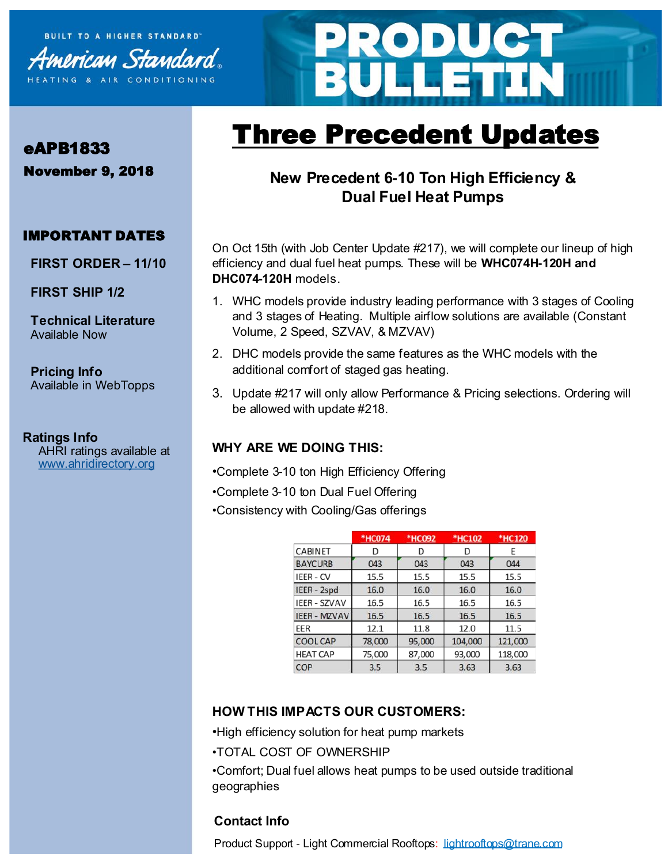



# Three Precedent Updates

# **New Precedent 6-10 Ton High Efficiency & Dual Fuel Heat Pumps**

On Oct 15th (with Job Center Update #217), we will complete our lineup of high efficiency and dual fuel heat pumps. These will be **WHC074H-120H and DHC074-120H** models.

- 1. WHC models provide industry leading performance with 3 stages of Cooling and 3 stages of Heating. Multiple airflow solutions are available (Constant Volume, 2 Speed, SZVAV, & MZVAV)
- 2. DHC models provide the same features as the WHC models with the additional comfort of staged gas heating.
- 3. Update #217 will only allow Performance & Pricing selections. Ordering will be allowed with update #218.

#### **WHY ARE WE DOING THIS:**

- •Complete 3-10 ton High Efficiency Offering
- •Complete 3-10 ton Dual Fuel Offering
- •Consistency with Cooling/Gas offerings

|                     | *HC074 | *HC092 | *HC102  | *HC120  |
|---------------------|--------|--------|---------|---------|
| <b>CABINET</b>      | D      | D      | D       |         |
| <b>BAYCURB</b>      | 043    | 043    | 043     | 044     |
| <b>IEER - CV</b>    | 15.5   | 15.5   | 15.5    | 15.5    |
| IEER - 2spd         | 16.0   | 16.0   | 16.0    | 16.0    |
| <b>IEER - SZVAV</b> | 16.5   | 16.5   | 16.5    | 16.5    |
| <b>IEER - MZVAV</b> | 16.5   | 16.5   | 16.5    | 16.5    |
| EER                 | 12.1   | 11.8   | 12.0    | 11.5    |
| <b>COOL CAP</b>     | 78,000 | 95,000 | 104,000 | 121,000 |
| <b>HEAT CAP</b>     | 75,000 | 87,000 | 93,000  | 118,000 |
| COP                 | 3.5    | 3.5    | 3.63    | 3.63    |

## **HOW THIS IMPACTS OUR CUSTOMERS:**

- •High efficiency solution for heat pump markets
- •TOTAL COST OF OWNERSHIP

•Comfort; Dual fuel allows heat pumps to be used outside traditional geographies

## **Contact Info**

eroduct Support - Light Commercial Rooftops: [lightrooftops@trane.com](mailto:lightrooftops@trane.com)

# eAPB1833

November 9, 2018

# IMPORTANT DATES

**FIRST ORDER – 11/10**

**FIRST SHIP 1/2**

**Technical Literature** Available Now

**Pricing Info** Available in WebTopps

## **Ratings Info**

AHRI ratings available at [www.ahridirectory.org](http://ahridirectory.org)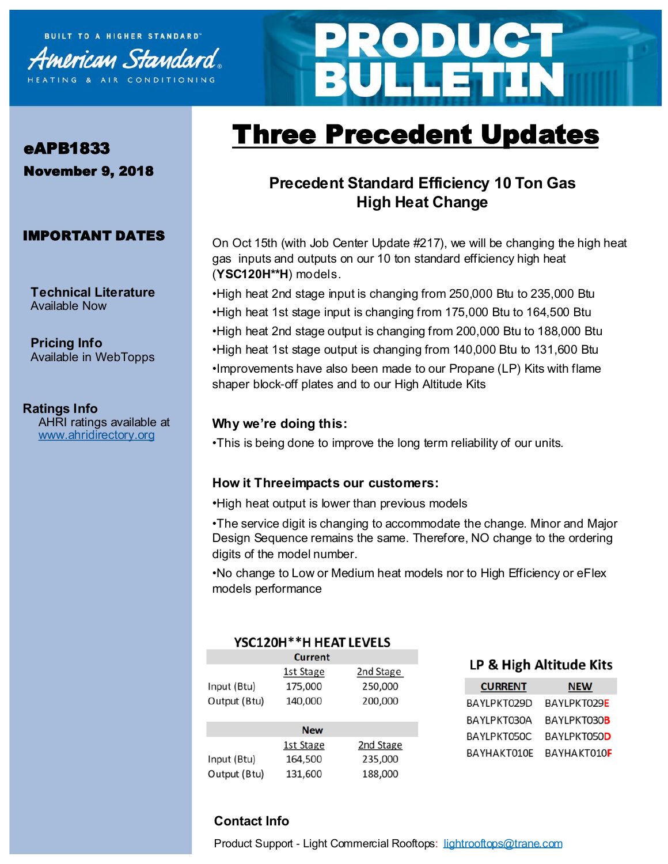



# Three Precedent Updates

# eAPB1833 November 9, 2018

#### IMPORTANT DATES

**Technical Literature** Available Now

**Pricing Info** Available in WebTopps

## **Ratings Info**

AHRI ratings available at [www.ahridirectory.org](http://ahridirectory.org)

# **Precedent Standard Efficiency 10 Ton Gas High Heat Change**

On Oct 15th (with Job Center Update #217), we will be changing the high heat gas inputs and outputs on our 10 ton standard efficiency high heat (**YSC120H\*\*H**) models.

•High heat 2nd stage input is changing from 250,000 Btu to 235,000 Btu •High heat 1st stage input is changing from 175,000 Btu to 164,500 Btu •High heat 2nd stage output is changing from 200,000 Btu to 188,000 Btu •High heat 1st stage output is changing from 140,000 Btu to 131,600 Btu •Improvements have also been made to our Propane (LP) Kits with flame shaper block-off plates and to our High Altitude Kits

#### **Why we're doing this:**

•This is being done to improve the long term reliability of our units.

#### **How it Threeimpacts our customers:**

•High heat output is lower than previous models

•The service digit is changing to accommodate the change. Minor and Major Design Sequence remains the same. Therefore, NO change to the ordering digits of the model number.

•No change to Low or Medium heat models nor to High Efficiency or eFlex models performance

#### YSC120H\*\*H HEAT LEVELS

|              | Current    |           |
|--------------|------------|-----------|
|              | 1st Stage  | 2nd Stage |
| Input (Btu)  | 175,000    | 250,000   |
| Output (Btu) | 140,000    | 200,000   |
|              |            |           |
|              | <b>New</b> |           |
|              | 1st Stage  | 2nd Stage |
| Input (Btu)  | 164,500    | 235,000   |
| Output (Btu) | 131,600    | 188,000   |
|              |            |           |

#### LP & High Altitude Kits

| <b>CURRENT</b> | <b>NEW</b>          |  |
|----------------|---------------------|--|
| BAYLPKT029D    | BAYLPKT029E         |  |
| BAYLPKT030A    | BAYLPKT030 <b>B</b> |  |
| BAYLPKT050C    | BAYLPKT050D         |  |
| BAYHAKT010E    | BAYHAKT010F         |  |

## **Contact Info**